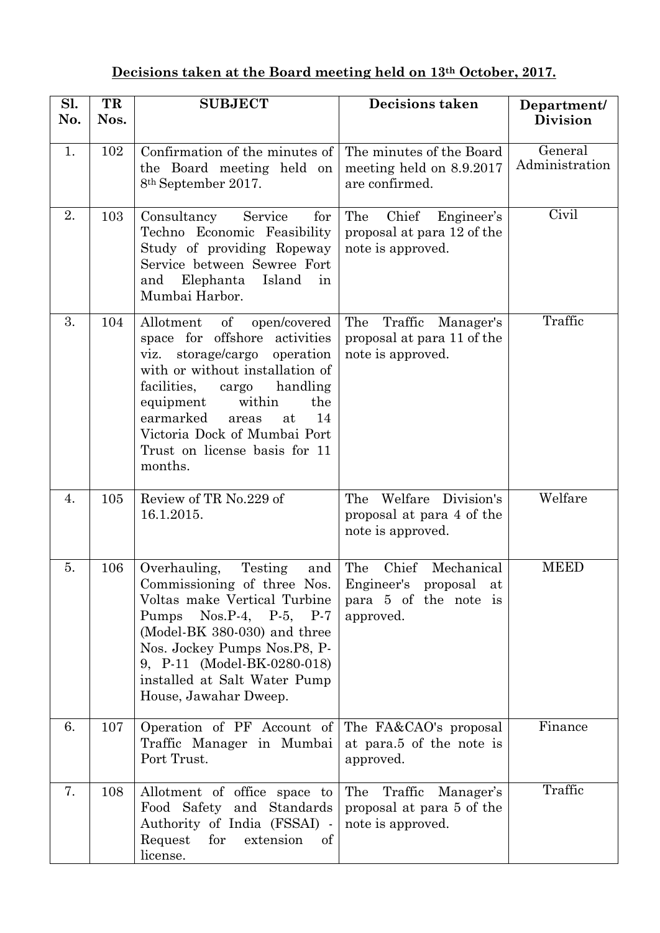## **Decisions taken at the Board meeting held on 13th October, 2017.**

| Sl.<br>No. | TR<br>Nos. | <b>SUBJECT</b>                                                                                                                                                                                                                                                                                                   | <b>Decisions taken</b>                                                                           | Department/<br><b>Division</b> |
|------------|------------|------------------------------------------------------------------------------------------------------------------------------------------------------------------------------------------------------------------------------------------------------------------------------------------------------------------|--------------------------------------------------------------------------------------------------|--------------------------------|
| 1.         | 102        | Confirmation of the minutes of<br>the Board meeting held on<br>8 <sup>th</sup> September 2017.                                                                                                                                                                                                                   | The minutes of the Board<br>meeting held on 8.9.2017<br>are confirmed.                           | General<br>Administration      |
| 2.         | 103        | Consultancy<br>Service<br>for<br>Techno Economic Feasibility<br>Study of providing Ropeway<br>Service between Sewree Fort<br>Elephanta<br>Island<br>and<br>in<br>Mumbai Harbor.                                                                                                                                  | The<br>Chief<br>Engineer's<br>proposal at para 12 of the<br>note is approved.                    | Civil                          |
| 3.         | 104        | Allotment of<br>open/covered<br>space for offshore activities<br>viz. storage/cargo operation<br>with or without installation of<br>facilities,<br>handling<br>cargo<br>equipment<br>within<br>the<br>earmarked<br>14<br>at<br>areas<br>Victoria Dock of Mumbai Port<br>Trust on license basis for 11<br>months. | The<br>Traffic Manager's<br>proposal at para 11 of the<br>note is approved.                      | Traffic                        |
| 4.         | 105        | Review of TR No.229 of<br>16.1.2015.                                                                                                                                                                                                                                                                             | Welfare Division's<br>The<br>proposal at para 4 of the<br>note is approved.                      | Welfare                        |
| 5.         | 106        | Overhauling,<br>Testing<br>and<br>Commissioning of three Nos.<br>Voltas make Vertical Turbine<br>Pumps $Nos.P-4$ , $P-5$ , $P-7$<br>(Model-BK 380-030) and three<br>Nos. Jockey Pumps Nos. P8, P-<br>9, P-11 (Model-BK-0280-018)<br>installed at Salt Water Pump<br>House, Jawahar Dweep.                        | Mechanical<br>Chief<br>The<br>Engineer's<br>proposal<br>at<br>para 5 of the note is<br>approved. | <b>MEED</b>                    |
| 6.         | 107        | Operation of PF Account of<br>Traffic Manager in Mumbai<br>Port Trust.                                                                                                                                                                                                                                           | The FA&CAO's proposal<br>at para.5 of the note is<br>approved.                                   | Finance                        |
| 7.         | 108        | Allotment of office space to<br>Food Safety and Standards<br>Authority of India (FSSAI) -<br>for extension<br>Request<br>of<br>license.                                                                                                                                                                          | The Traffic<br>Manager's<br>proposal at para 5 of the<br>note is approved.                       | Traffic                        |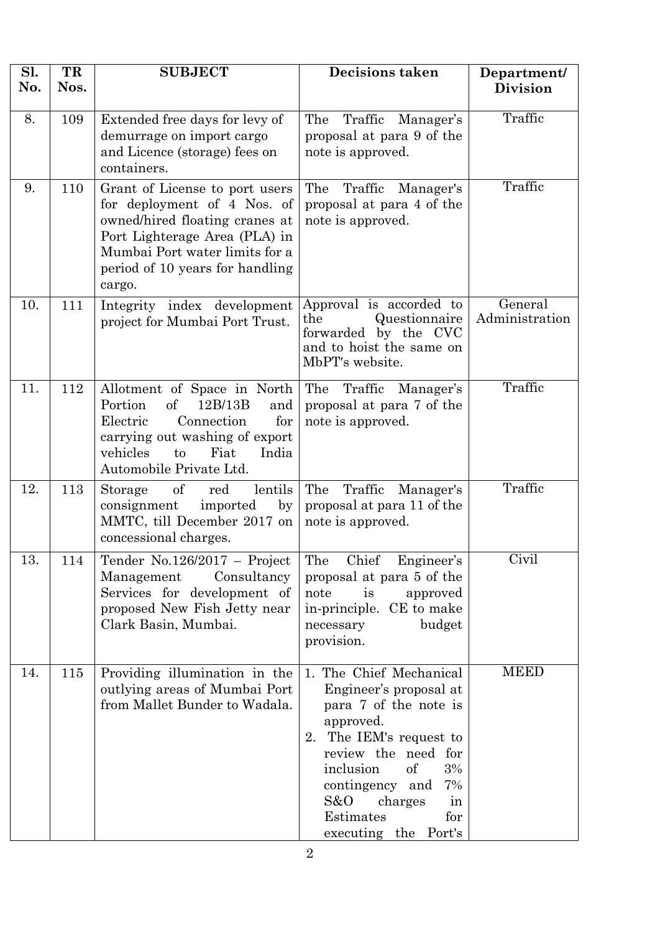| Sl.<br>No. | TR<br>Nos. | <b>SUBJECT</b>                                                                                                                                                                                                  | Decisions taken                                                                                                                                                                                                                                                               | Department/<br><b>Division</b> |
|------------|------------|-----------------------------------------------------------------------------------------------------------------------------------------------------------------------------------------------------------------|-------------------------------------------------------------------------------------------------------------------------------------------------------------------------------------------------------------------------------------------------------------------------------|--------------------------------|
| 8.         | 109        | Extended free days for levy of<br>demurrage on import cargo<br>and Licence (storage) fees on<br>containers.                                                                                                     | The<br>Traffic<br>Manager's<br>proposal at para 9 of the<br>note is approved.                                                                                                                                                                                                 | Traffic                        |
| 9.         | 110        | Grant of License to port users<br>for deployment of 4 Nos. of<br>owned/hired floating cranes at<br>Port Lighterage Area (PLA) in<br>Mumbai Port water limits for a<br>period of 10 years for handling<br>cargo. | The<br>Traffic<br>Manager's<br>proposal at para 4 of the<br>note is approved.                                                                                                                                                                                                 | Traffic                        |
| 10.        | 111        | Integrity index development<br>project for Mumbai Port Trust.                                                                                                                                                   | Approval is accorded to<br>Questionnaire<br>the<br>forwarded by the CVC<br>and to hoist the same on<br>MbPT's website.                                                                                                                                                        | General<br>Administration      |
| 11.        | 112        | Allotment of Space in North<br><sub>of</sub><br>Portion<br>12B/13B<br>and<br>for<br>Electric<br>Connection<br>carrying out washing of export<br>vehicles<br>Fiat<br>India<br>to<br>Automobile Private Ltd.      | The<br>Traffic Manager's<br>proposal at para 7 of the<br>note is approved.                                                                                                                                                                                                    | Traffic                        |
| 12.        | 113        | of<br>lentils<br>red<br>Storage<br>imported<br>by<br>consignment<br>MMTC, till December 2017 on<br>concessional charges.                                                                                        | The<br>Traffic<br>Manager's<br>proposal at para 11 of the<br>note is approved.                                                                                                                                                                                                | Traffic                        |
| 13.        | 114        | Tender $No.126/2017 - Project$<br>Management<br>Consultancy<br>Services for development of<br>proposed New Fish Jetty near<br>Clark Basin, Mumbai.                                                              | The<br>Chief<br>Engineer's<br>proposal at para 5 of the<br>note<br>approved<br>is<br>in-principle. CE to make<br>budget<br>necessary<br>provision.                                                                                                                            | Civil                          |
| 14.        | 115        | Providing illumination in the<br>outlying areas of Mumbai Port<br>from Mallet Bunder to Wadala.                                                                                                                 | 1. The Chief Mechanical<br>Engineer's proposal at<br>para 7 of the note is<br>approved.<br>The IEM's request to<br>2.<br>review the need for<br><sub>of</sub><br>inclusion<br>3%<br>contingency and<br>7%<br>S&O<br>charges<br>in<br>Estimates<br>for<br>executing the Port's | <b>MEED</b>                    |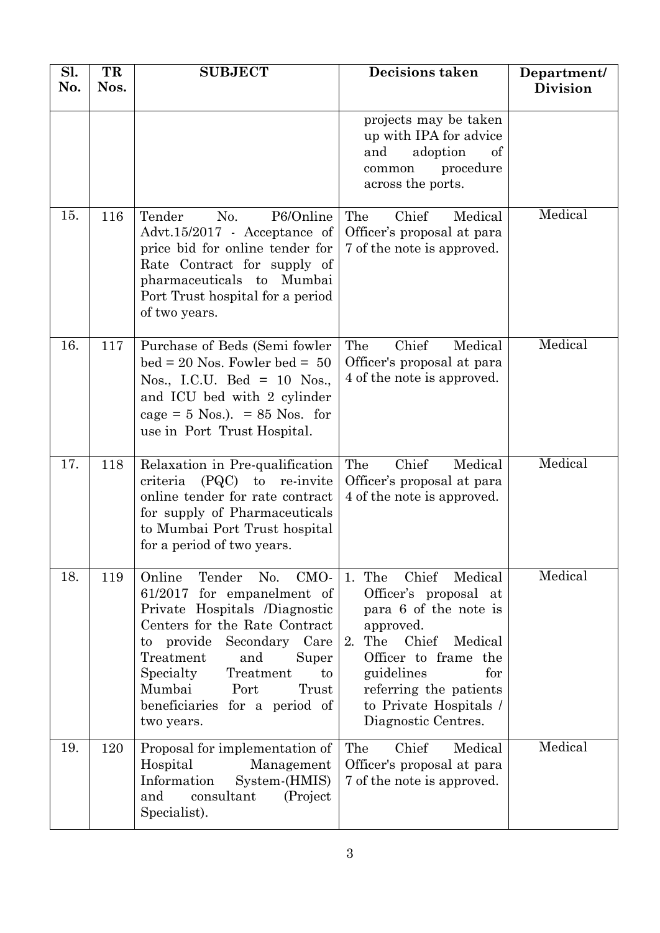| Sl.<br>No. | TR<br>Nos. | <b>SUBJECT</b>                                                                                                                                                                                                                                                                                      | Decisions taken                                                                                                                                                                                                                                 | Department/<br><b>Division</b> |
|------------|------------|-----------------------------------------------------------------------------------------------------------------------------------------------------------------------------------------------------------------------------------------------------------------------------------------------------|-------------------------------------------------------------------------------------------------------------------------------------------------------------------------------------------------------------------------------------------------|--------------------------------|
|            |            |                                                                                                                                                                                                                                                                                                     | projects may be taken<br>up with IPA for advice<br>adoption<br>and<br>of<br>procedure<br>common<br>across the ports.                                                                                                                            |                                |
| 15.        | 116        | P6/Online<br>Tender<br>No.<br>Advt.15/2017 - Acceptance of<br>price bid for online tender for<br>Rate Contract for supply of<br>pharmaceuticals to Mumbai<br>Port Trust hospital for a period<br>of two years.                                                                                      | Chief<br>The<br>Medical<br>Officer's proposal at para<br>7 of the note is approved.                                                                                                                                                             | Medical                        |
| 16.        | 117        | Purchase of Beds (Semi fowler<br>$bed = 20$ Nos. Fowler $bed = 50$<br>Nos., I.C.U. Bed = 10 Nos.,<br>and ICU bed with 2 cylinder<br>cage = $5$ Nos.). = $85$ Nos. for<br>use in Port Trust Hospital.                                                                                                | The<br>Chief<br>Medical<br>Officer's proposal at para<br>4 of the note is approved.                                                                                                                                                             | Medical                        |
| 17.        | 118        | Relaxation in Pre-qualification<br>criteria<br>(PQC)<br>to<br>re-invite<br>online tender for rate contract<br>for supply of Pharmaceuticals<br>to Mumbai Port Trust hospital<br>for a period of two years.                                                                                          | Chief<br>The<br>Medical<br>Officer's proposal at para<br>4 of the note is approved.                                                                                                                                                             | Medical                        |
| 18.        | 119        | Tender No.<br>CMO-<br>Online<br>61/2017 for empanelment of<br>Private Hospitals /Diagnostic<br>Centers for the Rate Contract<br>Secondary Care<br>to provide<br>Treatment<br>and<br>Super<br>Specialty<br>Treatment<br>to<br>Mumbai<br>Port<br>Trust<br>beneficiaries for a period of<br>two years. | Chief Medical<br>1. The<br>Officer's proposal at<br>para 6 of the note is<br>approved.<br>The<br>Chief<br>Medical<br>2.<br>Officer to frame the<br>guidelines<br>for<br>referring the patients<br>to Private Hospitals /<br>Diagnostic Centres. | Medical                        |
| 19.        | 120        | Proposal for implementation of<br>Hospital<br>Management<br>Information<br>System-(HMIS)<br>and<br>consultant<br>(Project)<br>Specialist).                                                                                                                                                          | Chief<br>The<br>Medical<br>Officer's proposal at para<br>7 of the note is approved.                                                                                                                                                             | Medical                        |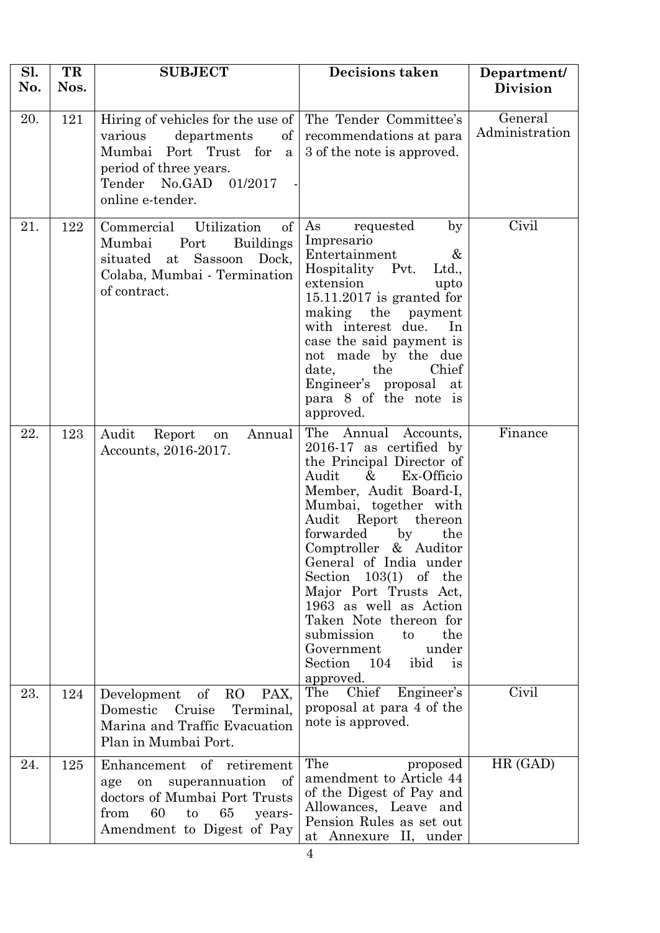| Sl.<br>No. | TR<br>Nos. | <b>SUBJECT</b>                                                                                                                                                                       | <b>Decisions taken</b>                                                                                                                                                                                                                                                                                                                                                                                                                                                                          | Department/<br><b>Division</b> |
|------------|------------|--------------------------------------------------------------------------------------------------------------------------------------------------------------------------------------|-------------------------------------------------------------------------------------------------------------------------------------------------------------------------------------------------------------------------------------------------------------------------------------------------------------------------------------------------------------------------------------------------------------------------------------------------------------------------------------------------|--------------------------------|
| 20.        | 121        | Hiring of vehicles for the use of<br>departments<br>various<br>$\left  \right $<br>Mumbai Port Trust for a<br>period of three years.<br>01/2017<br>Tender No.GAD<br>online e-tender. | The Tender Committee's<br>recommendations at para<br>3 of the note is approved.                                                                                                                                                                                                                                                                                                                                                                                                                 | General<br>Administration      |
| 21.        | 122        | <sub>of</sub><br>Commercial<br>Utilization<br>Mumbai<br><b>Buildings</b><br>Port<br>Sassoon<br>situated<br>at<br>Dock,<br>Colaba, Mumbai - Termination<br>of contract.               | As<br>requested<br>$_{\rm by}$<br>Impresario<br>Entertainment<br>&<br>Hospitality Pvt.<br>Ltd.,<br>extension<br>upto<br>$15.11.2017$ is granted for<br>making<br>the<br>payment<br>with interest due.<br>In<br>case the said payment is<br>not made by the due<br>the<br>Chief<br>date,<br>Engineer's proposal<br>at<br>para 8 of the note is<br>approved.                                                                                                                                      | Civil                          |
| 22.        | 123        | Audit<br>Annual<br>Report<br>on<br>Accounts, 2016-2017.                                                                                                                              | The Annual<br>Accounts,<br>$2016-17$ as certified by<br>the Principal Director of<br>Ex-Officio<br>Audit<br>$\&$<br>Member, Audit Board-I,<br>Mumbai, together with<br>Audit<br>Report<br>thereon<br>forwarded<br>$_{\rm by}$<br>the<br>Comptroller & Auditor<br>General of India under<br>$103(1)$ of the<br>Section<br>Major Port Trusts Act,<br>1963 as well as Action<br>Taken Note thereon for<br>submission<br>to<br>the<br>Government<br>under<br>ibid<br>Section 104<br>is<br>approved. | Finance                        |
| 23.        | 124        | R <sub>O</sub><br>$\mathrm{of}$<br>PAX,<br>Development<br>Domestic<br>Cruise<br>Terminal,<br>Marina and Traffic Evacuation<br>Plan in Mumbai Port.                                   | Engineer's<br>The<br>Chief<br>proposal at para 4 of the<br>note is approved.                                                                                                                                                                                                                                                                                                                                                                                                                    | Civil                          |
| 24.        | 125        | of retirement<br>Enhancement<br>superannuation<br>of<br>on<br>age<br>doctors of Mumbai Port Trusts<br>from<br>60<br>65<br>to<br>years-<br>Amendment to Digest of Pay                 | The<br>proposed<br>amendment to Article 44<br>of the Digest of Pay and<br>Allowances, Leave and<br>Pension Rules as set out<br>at Annexure II, under                                                                                                                                                                                                                                                                                                                                            | HR (GAD)                       |